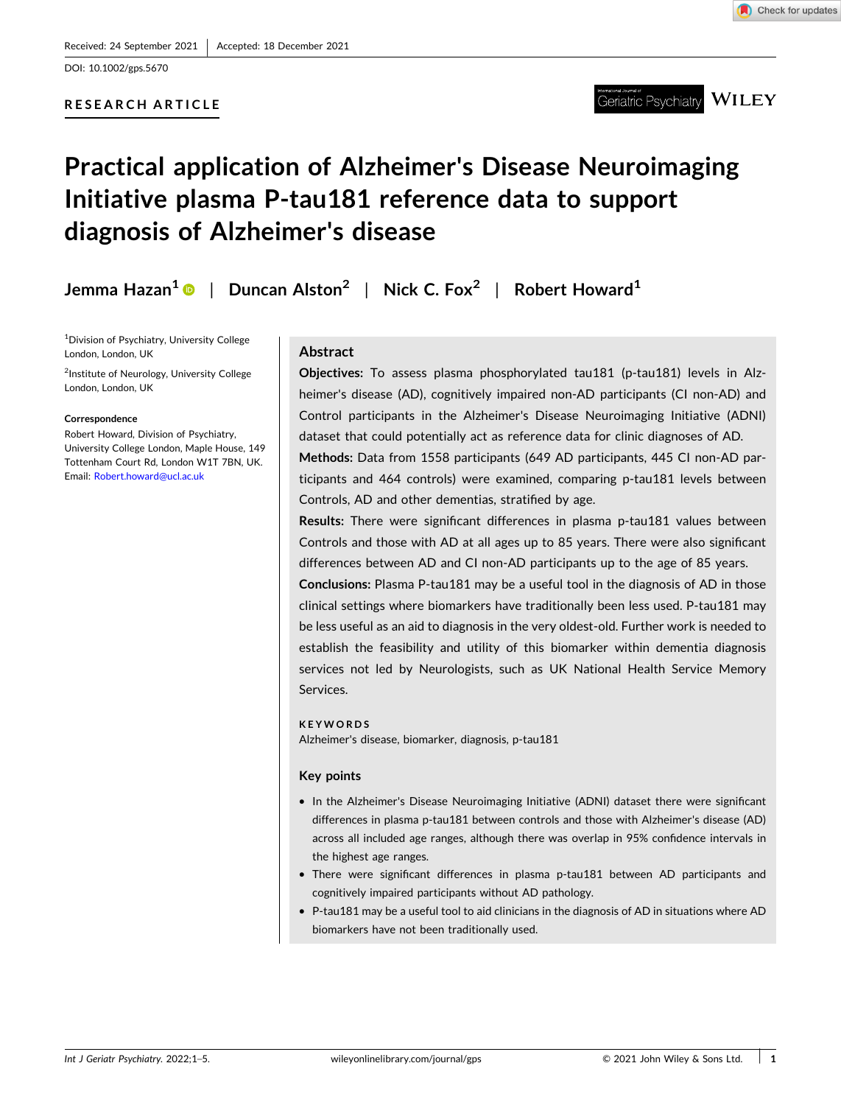DOI: [10.1002/gps.5670](https://doi.org/10.1002/gps.5670)

## **RESEARCH ARTICLE**



**WILEY** Geriatric Psvchiatrv

# **Practical application of Alzheimer's Disease Neuroimaging Initiative plasma P‐tau181 reference data to support diagnosis of Alzheimer's disease**

**Jemma Hazan1** | **Duncan Alston2** | **Nick C. Fox2** | **Robert Howard1**

1 Division of Psychiatry, University College London, London, UK

<sup>2</sup>Institute of Neurology, University College London, London, UK

#### **Correspondence**

Robert Howard, Division of Psychiatry, University College London, Maple House, 149 Tottenham Court Rd, London W1T 7BN, UK. Email: [Robert.howard@ucl.ac.uk](mailto:Robert.howard@ucl.ac.uk)

## **Abstract**

Objectives: To assess plasma phosphorylated tau181 (p-tau181) levels in Alzheimer's disease (AD), cognitively impaired non‐AD participants (CI non‐AD) and Control participants in the Alzheimer's Disease Neuroimaging Initiative (ADNI) dataset that could potentially act as reference data for clinic diagnoses of AD.

**Methods:** Data from 1558 participants (649 AD participants, 445 CI non‐AD participants and 464 controls) were examined, comparing p-tau181 levels between Controls, AD and other dementias, stratified by age.

**Results:** There were significant differences in plasma p-tau181 values between Controls and those with AD at all ages up to 85 years. There were also significant differences between AD and CI non‐AD participants up to the age of 85 years.

**Conclusions:** Plasma P‐tau181 may be a useful tool in the diagnosis of AD in those clinical settings where biomarkers have traditionally been less used. P‐tau181 may be less useful as an aid to diagnosis in the very oldest‐old. Further work is needed to establish the feasibility and utility of this biomarker within dementia diagnosis services not led by Neurologists, such as UK National Health Service Memory Services.

#### **KEYWORDS**

Alzheimer's disease, biomarker, diagnosis, p‐tau181

## **Key points**

- � In the Alzheimer's Disease Neuroimaging Initiative (ADNI) dataset there were significant differences in plasma p-tau181 between controls and those with Alzheimer's disease (AD) across all included age ranges, although there was overlap in 95% confidence intervals in the highest age ranges.
- � There were significant differences in plasma p‐tau181 between AD participants and cognitively impaired participants without AD pathology.
- � P‐tau181 may be a useful tool to aid clinicians in the diagnosis of AD in situations where AD biomarkers have not been traditionally used.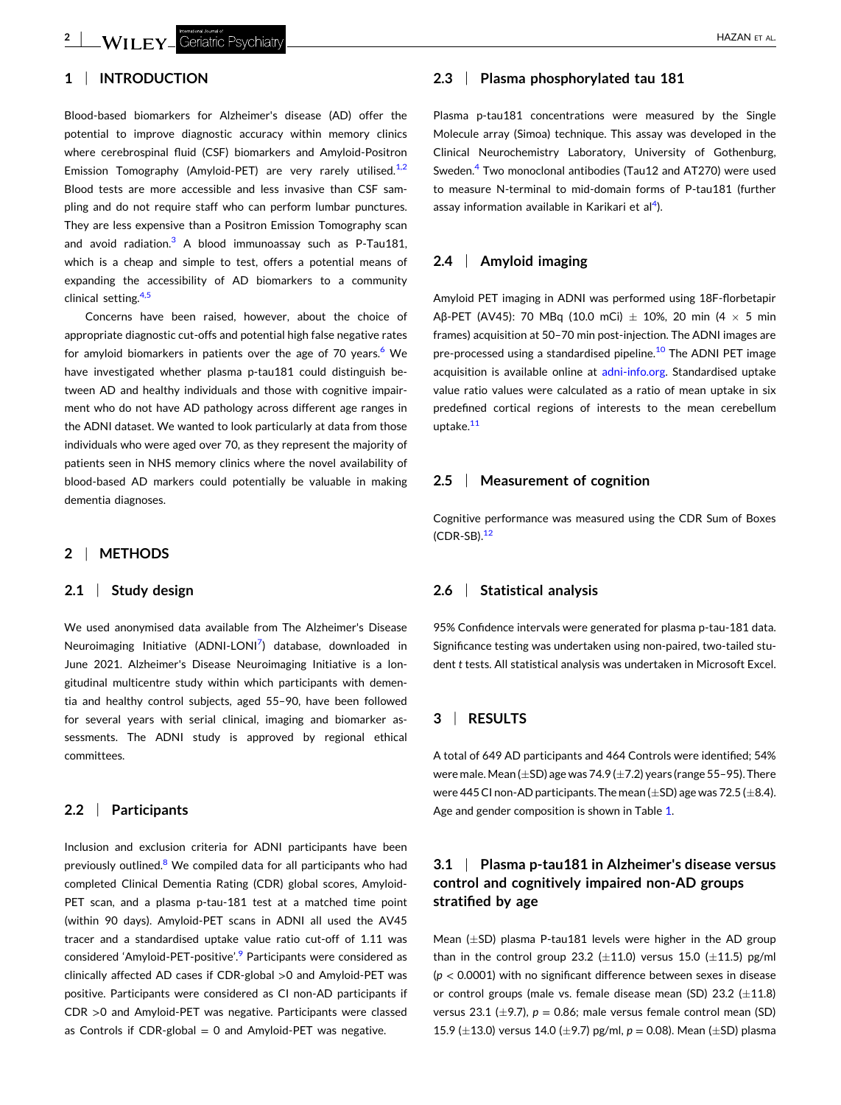## **1** <sup>|</sup> **INTRODUCTION**

Blood‐based biomarkers for Alzheimer's disease (AD) offer the potential to improve diagnostic accuracy within memory clinics where cerebrospinal fluid (CSF) biomarkers and Amyloid‐Positron Emission Tomography (Amyloid-PET) are very rarely utilised.<sup>[1,2](#page-4-0)</sup> Blood tests are more accessible and less invasive than CSF sampling and do not require staff who can perform lumbar punctures. They are less expensive than a Positron Emission Tomography scan and avoid radiation. $3$  A blood immunoassay such as P-Tau181, which is a cheap and simple to test, offers a potential means of expanding the accessibility of AD biomarkers to a community clinical setting.<sup>[4,5](#page-4-0)</sup>

Concerns have been raised, however, about the choice of appropriate diagnostic cut‐offs and potential high false negative rates for amyloid biomarkers in patients over the age of 70 years. $6$  We have investigated whether plasma p-tau181 could distinguish between AD and healthy individuals and those with cognitive impairment who do not have AD pathology across different age ranges in the ADNI dataset. We wanted to look particularly at data from those individuals who were aged over 70, as they represent the majority of patients seen in NHS memory clinics where the novel availability of blood‐based AD markers could potentially be valuable in making dementia diagnoses.

## **2** <sup>|</sup> **METHODS**

#### **2.1** <sup>|</sup> **Study design**

We used anonymised data available from The Alzheimer's Disease Neuroimaging Initiative (ADNI-LONI<sup>[7](#page-4-0)</sup>) database, downloaded in June 2021. Alzheimer's Disease Neuroimaging Initiative is a longitudinal multicentre study within which participants with dementia and healthy control subjects, aged 55–90, have been followed for several years with serial clinical, imaging and biomarker assessments. The ADNI study is approved by regional ethical committees.

#### **2.2** <sup>|</sup> **Participants**

Inclusion and exclusion criteria for ADNI participants have been previously outlined.<sup>[8](#page-4-0)</sup> We compiled data for all participants who had completed Clinical Dementia Rating (CDR) global scores, Amyloid‐ PET scan, and a plasma p-tau-181 test at a matched time point (within 90 days). Amyloid‐PET scans in ADNI all used the AV45 tracer and a standardised uptake value ratio cut‐off of 1.11 was considered 'Amyloid-PET-positive'.<sup>[9](#page-4-0)</sup> Participants were considered as clinically affected AD cases if CDR‐global >0 and Amyloid‐PET was positive. Participants were considered as CI non‐AD participants if CDR >0 and Amyloid‐PET was negative. Participants were classed as Controls if CDR-global = 0 and Amyloid-PET was negative.

## **2.3** <sup>|</sup> **Plasma phosphorylated tau 181**

Plasma p-tau181 concentrations were measured by the Single Molecule array (Simoa) technique. This assay was developed in the Clinical Neurochemistry Laboratory, University of Gothenburg, Sweden.<sup>4</sup> Two monoclonal antibodies (Tau12 and AT270) were used to measure N‐terminal to mid‐domain forms of P‐tau181 (further assay information available in Karikari et al<sup>[4](#page-4-0)</sup>).

### **2.4** <sup>|</sup> **Amyloid imaging**

Amyloid PET imaging in ADNI was performed using 18F‐florbetapir Aβ-PET (AV45): 70 MBq (10.0 mCi)  $\pm$  10%, 20 min (4  $\times$  5 min frames) acquisition at 50-70 min post-injection. The ADNI images are pre-processed using a standardised pipeline.<sup>[10](#page-4-0)</sup> The ADNI PET image acquisition is available online at adni-[info.org](http://adni-info.org). Standardised uptake value ratio values were calculated as a ratio of mean uptake in six predefined cortical regions of interests to the mean cerebellum uptake.<sup>[11](#page-4-0)</sup>

#### **2.5** <sup>|</sup> **Measurement of cognition**

Cognitive performance was measured using the CDR Sum of Boxes  $(CDR-SB).<sup>12</sup>$ 

#### **2.6** <sup>|</sup> **Statistical analysis**

95% Confidence intervals were generated for plasma p-tau-181 data. Significance testing was undertaken using non-paired, two-tailed student *t* tests. All statistical analysis was undertaken in Microsoft Excel.

#### **3** <sup>|</sup> **RESULTS**

A total of 649 AD participants and 464 Controls were identified; 54% were male. Mean ( $\pm$ SD) age was 74.9 ( $\pm$ 7.2) years (range 55–95). There were 445 CI non-AD participants. The mean ( $\pm$ SD) age was 72.5 ( $\pm$ 8.4). Age and gender composition is shown in Table [1.](#page-2-0)

## **3.1** <sup>|</sup> **Plasma p‐tau181 in Alzheimer's disease versus control and cognitively impaired non‐AD groups stratified by age**

Mean ( $\pm$ SD) plasma P-tau181 levels were higher in the AD group than in the control group 23.2 ( $\pm$ 11.0) versus 15.0 ( $\pm$ 11.5) pg/ml (*p* < 0.0001) with no significant difference between sexes in disease or control groups (male vs. female disease mean (SD) 23.2  $(\pm 11.8)$ versus 23.1 ( $\pm$ 9.7),  $p = 0.86$ ; male versus female control mean (SD) 15.9 (±13.0) versus 14.0 (±9.7) pg/ml,  $p = 0.08$ ). Mean (±SD) plasma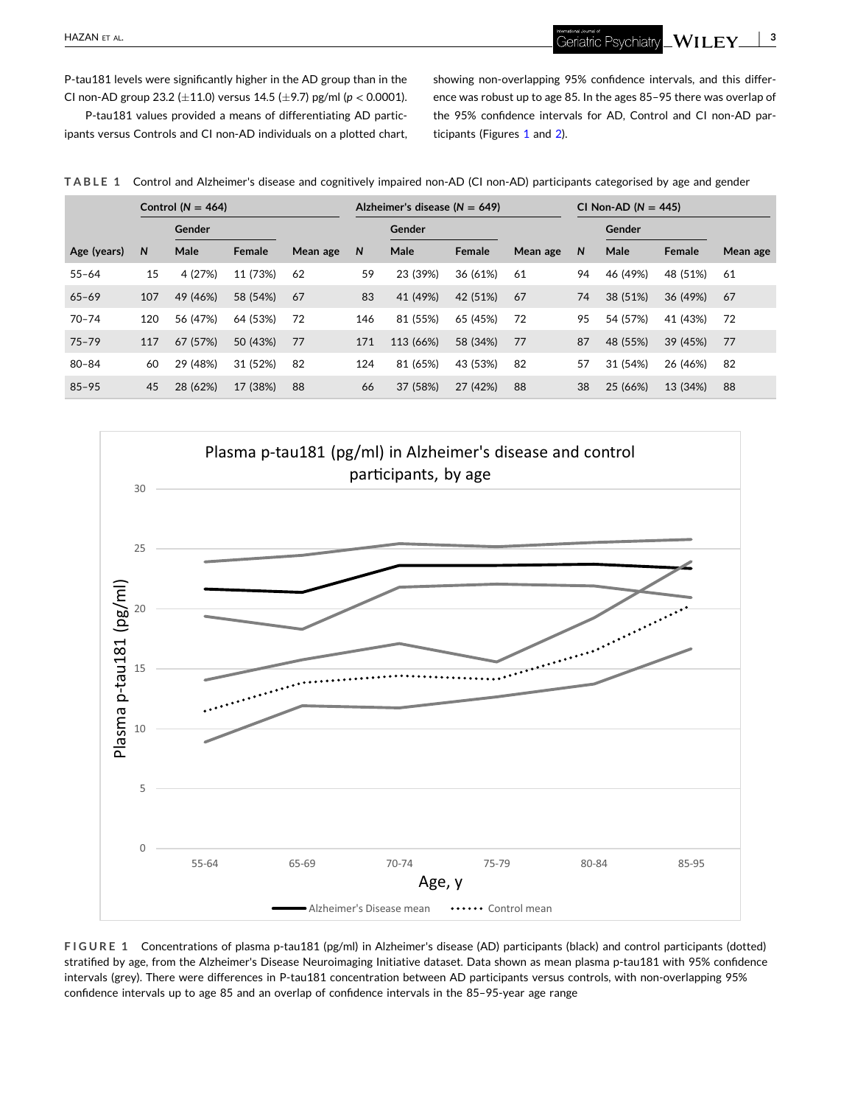<span id="page-2-0"></span>P-tau181 levels were significantly higher in the AD group than in the CI non‐AD group 23.2 (�11.0) versus 14.5 (�9.7) pg/ml (*p* < 0.0001).

P‐tau181 values provided a means of differentiating AD participants versus Controls and CI non‐AD individuals on a plotted chart, showing non‐overlapping 95% confidence intervals, and this difference was robust up to age 85. In the ages 85–95 there was overlap of the 95% confidence intervals for AD, Control and CI non‐AD participants (Figures 1 and [2\)](#page-3-0).

**TABLE 1** Control and Alzheimer's disease and cognitively impaired non‐AD (CI non‐AD) participants categorised by age and gender

|             | Control $(N = 464)$ |          |          |          |     | Alzheimer's disease ( $N = 649$ ) |          |          |    | CI Non-AD $(N = 445)$ |          |          |  |
|-------------|---------------------|----------|----------|----------|-----|-----------------------------------|----------|----------|----|-----------------------|----------|----------|--|
|             |                     | Gender   |          |          |     | Gender                            |          |          |    | Gender                |          |          |  |
| Age (years) | N                   | Male     | Female   | Mean age | N   | Male                              | Female   | Mean age | N  | Male                  | Female   | Mean age |  |
| $55 - 64$   | 15                  | 4 (27%)  | 11 (73%) | 62       | 59  | 23 (39%)                          | 36 (61%) | 61       | 94 | 46 (49%)              | 48 (51%) | 61       |  |
| $65 - 69$   | 107                 | 49 (46%) | 58 (54%) | 67       | 83  | 41 (49%)                          | 42 (51%) | 67       | 74 | 38 (51%)              | 36 (49%) | 67       |  |
| $70 - 74$   | 120                 | 56 (47%) | 64 (53%) | 72       | 146 | 81 (55%)                          | 65 (45%) | 72       | 95 | 54 (57%)              | 41 (43%) | 72       |  |
| $75 - 79$   | 117                 | 67 (57%) | 50 (43%) | 77       | 171 | 113 (66%)                         | 58 (34%) | 77       | 87 | 48 (55%)              | 39 (45%) | 77       |  |
| $80 - 84$   | 60                  | 29 (48%) | 31 (52%) | 82       | 124 | 81 (65%)                          | 43 (53%) | 82       | 57 | 31 (54%)              | 26 (46%) | 82       |  |
| $85 - 95$   | 45                  | 28 (62%) | 17 (38%) | 88       | 66  | 37 (58%)                          | 27 (42%) | 88       | 38 | 25 (66%)              | 13 (34%) | 88       |  |



**FIGURE 1** Concentrations of plasma p‐tau181 (pg/ml) in Alzheimer's disease (AD) participants (black) and control participants (dotted) stratified by age, from the Alzheimer's Disease Neuroimaging Initiative dataset. Data shown as mean plasma p-tau181 with 95% confidence intervals (grey). There were differences in P-tau181 concentration between AD participants versus controls, with non-overlapping 95% confidence intervals up to age 85 and an overlap of confidence intervals in the 85-95-year age range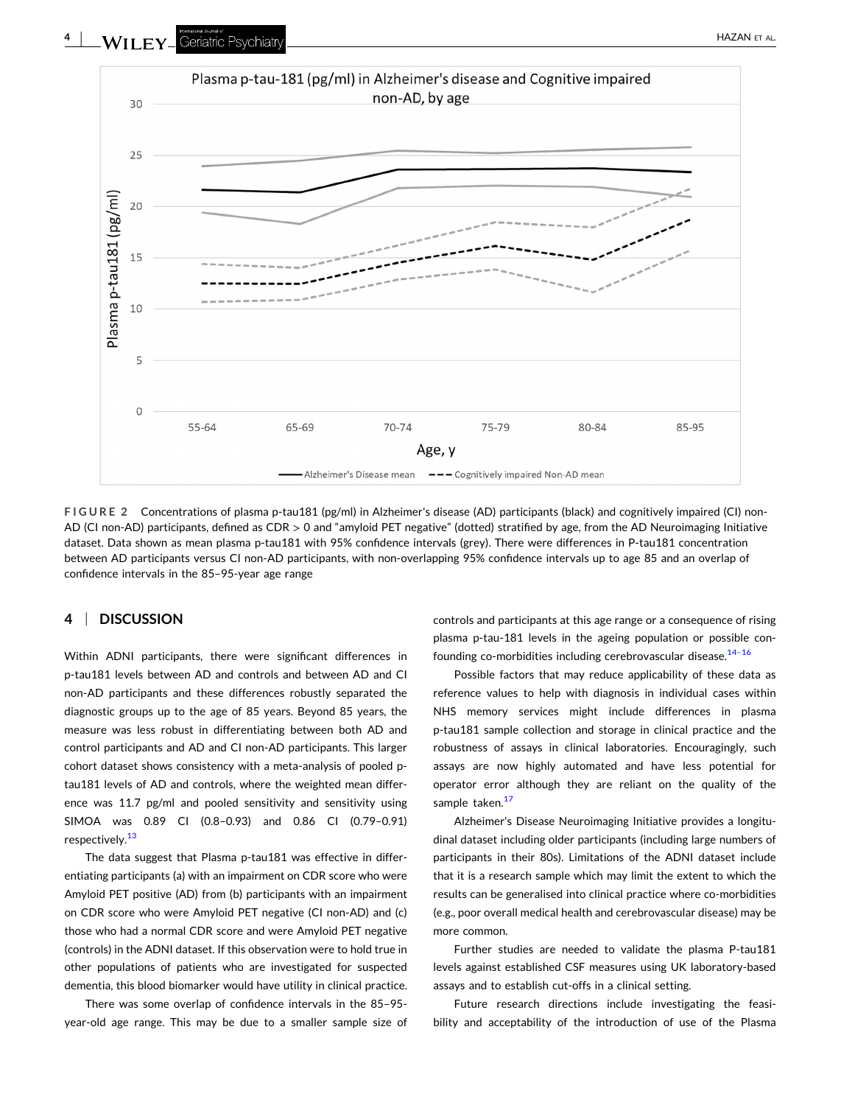<span id="page-3-0"></span>

**FIGURE 2** Concentrations of plasma p‐tau181 (pg/ml) in Alzheimer's disease (AD) participants (black) and cognitively impaired (CI) non‐ AD (CI non‐AD) participants, defined as CDR > 0 and "amyloid PET negative" (dotted) stratified by age, from the AD Neuroimaging Initiative dataset. Data shown as mean plasma p‐tau181 with 95% confidence intervals (grey). There were differences in P‐tau181 concentration between AD participants versus CI non‐AD participants, with non‐overlapping 95% confidence intervals up to age 85 and an overlap of confidence intervals in the 85–95‐year age range

## **4** <sup>|</sup> **DISCUSSION**

Within ADNI participants, there were significant differences in p-tau181 levels between AD and controls and between AD and CI non‐AD participants and these differences robustly separated the diagnostic groups up to the age of 85 years. Beyond 85 years, the measure was less robust in differentiating between both AD and control participants and AD and CI non‐AD participants. This larger cohort dataset shows consistency with a meta‐analysis of pooled p‐ tau181 levels of AD and controls, where the weighted mean difference was 11.7 pg/ml and pooled sensitivity and sensitivity using SIMOA was 0.89 CI (0.8–0.93) and 0.86 CI (0.79–0.91) respectively.<sup>[13](#page-4-0)</sup>

The data suggest that Plasma p-tau181 was effective in differentiating participants (a) with an impairment on CDR score who were Amyloid PET positive (AD) from (b) participants with an impairment on CDR score who were Amyloid PET negative (CI non‐AD) and (c) those who had a normal CDR score and were Amyloid PET negative (controls) in the ADNI dataset. If this observation were to hold true in other populations of patients who are investigated for suspected dementia, this blood biomarker would have utility in clinical practice.

There was some overlap of confidence intervals in the 85–95‐ year‐old age range. This may be due to a smaller sample size of controls and participants at this age range or a consequence of rising plasma p-tau-181 levels in the ageing population or possible confounding co-morbidities including cerebrovascular disease.<sup>14-16</sup>

Possible factors that may reduce applicability of these data as reference values to help with diagnosis in individual cases within NHS memory services might include differences in plasma p-tau181 sample collection and storage in clinical practice and the robustness of assays in clinical laboratories. Encouragingly, such assays are now highly automated and have less potential for operator error although they are reliant on the quality of the sample taken.<sup>[17](#page-4-0)</sup>

Alzheimer's Disease Neuroimaging Initiative provides a longitudinal dataset including older participants (including large numbers of participants in their 80s). Limitations of the ADNI dataset include that it is a research sample which may limit the extent to which the results can be generalised into clinical practice where co-morbidities (e.g., poor overall medical health and cerebrovascular disease) may be more common.

Further studies are needed to validate the plasma P-tau181 levels against established CSF measures using UK laboratory‐based assays and to establish cut‐offs in a clinical setting.

Future research directions include investigating the feasibility and acceptability of the introduction of use of the Plasma